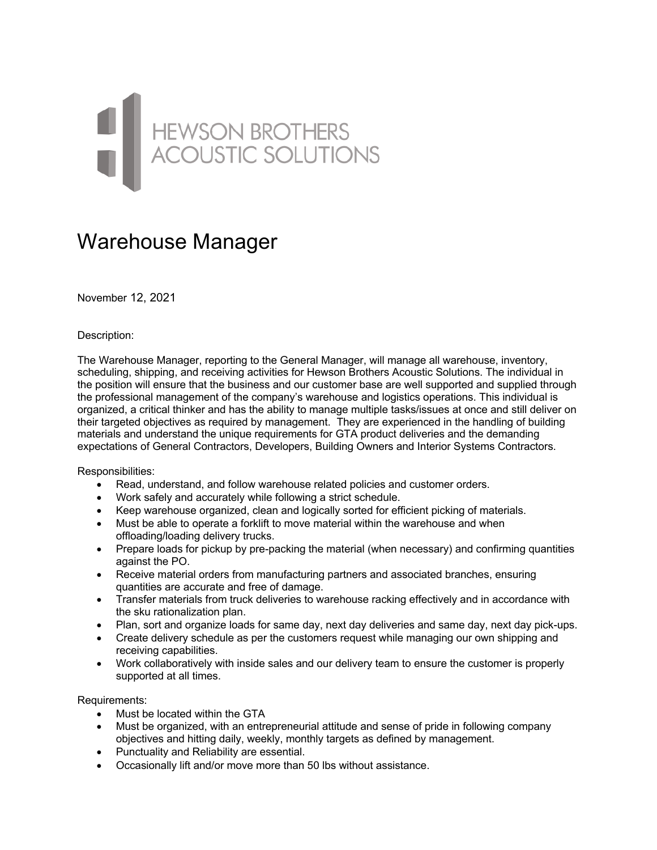## HEWSON BROTHERS

## Warehouse Manager

November 12, 2021

Description:

The Warehouse Manager, reporting to the General Manager, will manage all warehouse, inventory, scheduling, shipping, and receiving activities for Hewson Brothers Acoustic Solutions. The individual in the position will ensure that the business and our customer base are well supported and supplied through the professional management of the company's warehouse and logistics operations. This individual is organized, a critical thinker and has the ability to manage multiple tasks/issues at once and still deliver on their targeted objectives as required by management. They are experienced in the handling of building materials and understand the unique requirements for GTA product deliveries and the demanding expectations of General Contractors, Developers, Building Owners and Interior Systems Contractors.

Responsibilities:

- Read, understand, and follow warehouse related policies and customer orders.
- Work safely and accurately while following a strict schedule.
- Keep warehouse organized, clean and logically sorted for efficient picking of materials.
- Must be able to operate a forklift to move material within the warehouse and when offloading/loading delivery trucks.
- Prepare loads for pickup by pre-packing the material (when necessary) and confirming quantities against the PO.
- Receive material orders from manufacturing partners and associated branches, ensuring quantities are accurate and free of damage.
- Transfer materials from truck deliveries to warehouse racking effectively and in accordance with the sku rationalization plan.
- Plan, sort and organize loads for same day, next day deliveries and same day, next day pick-ups.
- Create delivery schedule as per the customers request while managing our own shipping and receiving capabilities.
- Work collaboratively with inside sales and our delivery team to ensure the customer is properly supported at all times.

Requirements:

- Must be located within the GTA
- Must be organized, with an entrepreneurial attitude and sense of pride in following company objectives and hitting daily, weekly, monthly targets as defined by management.
- Punctuality and Reliability are essential.
- Occasionally lift and/or move more than 50 lbs without assistance.